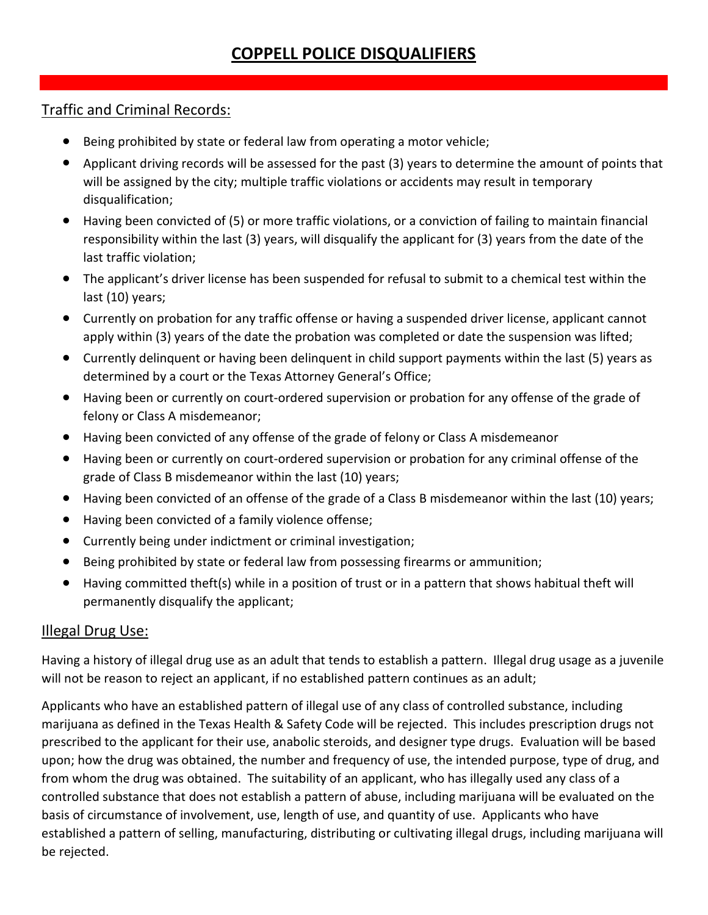## Traffic and Criminal Records:

- Being prohibited by state or federal law from operating a motor vehicle;
- Applicant driving records will be assessed for the past (3) years to determine the amount of points that will be assigned by the city; multiple traffic violations or accidents may result in temporary disqualification;
- Having been convicted of (5) or more traffic violations, or a conviction of failing to maintain financial responsibility within the last (3) years, will disqualify the applicant for (3) years from the date of the last traffic violation;
- The applicant's driver license has been suspended for refusal to submit to a chemical test within the last (10) years;
- Currently on probation for any traffic offense or having a suspended driver license, applicant cannot apply within (3) years of the date the probation was completed or date the suspension was lifted;
- Currently delinquent or having been delinquent in child support payments within the last (5) years as determined by a court or the Texas Attorney General's Office;
- Having been or currently on court-ordered supervision or probation for any offense of the grade of felony or Class A misdemeanor;
- Having been convicted of any offense of the grade of felony or Class A misdemeanor
- Having been or currently on court-ordered supervision or probation for any criminal offense of the grade of Class B misdemeanor within the last (10) years;
- Having been convicted of an offense of the grade of a Class B misdemeanor within the last (10) years;
- Having been convicted of a family violence offense;
- Currently being under indictment or criminal investigation;
- Being prohibited by state or federal law from possessing firearms or ammunition;
- Having committed theft(s) while in a position of trust or in a pattern that shows habitual theft will permanently disqualify the applicant;

## Illegal Drug Use:

Having a history of illegal drug use as an adult that tends to establish a pattern. Illegal drug usage as a juvenile will not be reason to reject an applicant, if no established pattern continues as an adult;

Applicants who have an established pattern of illegal use of any class of controlled substance, including marijuana as defined in the Texas Health & Safety Code will be rejected. This includes prescription drugs not prescribed to the applicant for their use, anabolic steroids, and designer type drugs. Evaluation will be based upon; how the drug was obtained, the number and frequency of use, the intended purpose, type of drug, and from whom the drug was obtained. The suitability of an applicant, who has illegally used any class of a controlled substance that does not establish a pattern of abuse, including marijuana will be evaluated on the basis of circumstance of involvement, use, length of use, and quantity of use. Applicants who have established a pattern of selling, manufacturing, distributing or cultivating illegal drugs, including marijuana will be rejected.